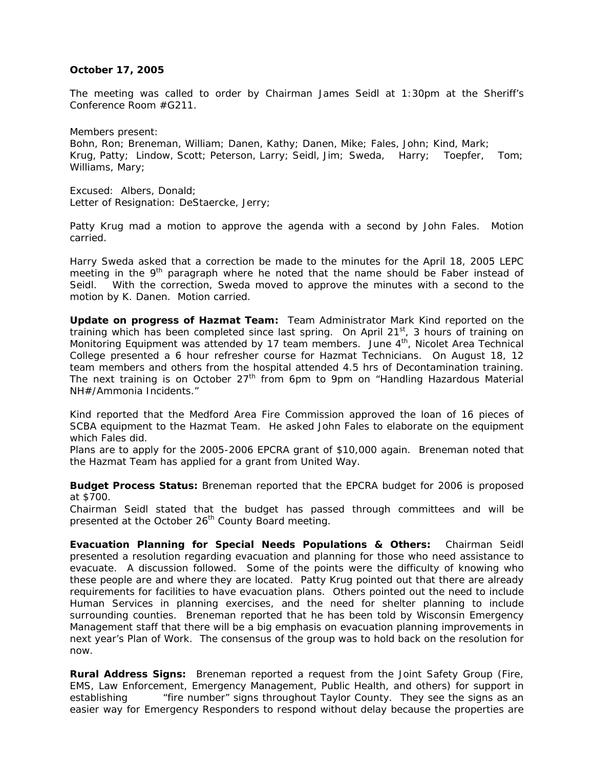## **October 17, 2005**

The meeting was called to order by Chairman James Seidl at 1:30pm at the Sheriff's Conference Room #G211.

Members present: Bohn, Ron; Breneman, William; Danen, Kathy; Danen, Mike; Fales, John; Kind, Mark; Krug, Patty; Lindow, Scott; Peterson, Larry; Seidl, Jim; Sweda, Harry; Toepfer, Tom; Williams, Mary;

Excused: Albers, Donald; Letter of Resignation: DeStaercke, Jerry;

Patty Krug mad a motion to approve the agenda with a second by John Fales. Motion carried.

Harry Sweda asked that a correction be made to the minutes for the April 18, 2005 LEPC meeting in the  $9<sup>th</sup>$  paragraph where he noted that the name should be Faber instead of Seidl. With the correction, Sweda moved to approve the minutes with a second to the motion by K. Danen. Motion carried.

**Update on progress of Hazmat Team:** Team Administrator Mark Kind reported on the training which has been completed since last spring. On April  $21<sup>st</sup>$ , 3 hours of training on Monitoring Equipment was attended by 17 team members. June  $4<sup>th</sup>$ , Nicolet Area Technical College presented a 6 hour refresher course for Hazmat Technicians. On August 18, 12 team members and others from the hospital attended 4.5 hrs of Decontamination training. The next training is on October  $27<sup>th</sup>$  from 6pm to 9pm on "Handling Hazardous Material NH#/Ammonia Incidents."

Kind reported that the Medford Area Fire Commission approved the loan of 16 pieces of SCBA equipment to the Hazmat Team. He asked John Fales to elaborate on the equipment which Fales did.

Plans are to apply for the 2005-2006 EPCRA grant of \$10,000 again. Breneman noted that the Hazmat Team has applied for a grant from United Way.

**Budget Process Status:** Breneman reported that the EPCRA budget for 2006 is proposed at \$700.

Chairman Seidl stated that the budget has passed through committees and will be presented at the October 26<sup>th</sup> County Board meeting.

**Evacuation Planning for Special Needs Populations & Others:** Chairman Seidl presented a resolution regarding evacuation and planning for those who need assistance to evacuate. A discussion followed. Some of the points were the difficulty of knowing who these people are and where they are located. Patty Krug pointed out that there are already requirements for facilities to have evacuation plans. Others pointed out the need to include Human Services in planning exercises, and the need for shelter planning to include surrounding counties. Breneman reported that he has been told by Wisconsin Emergency Management staff that there will be a big emphasis on evacuation planning improvements in next year's Plan of Work. The consensus of the group was to hold back on the resolution for now.

**Rural Address Signs:** Breneman reported a request from the Joint Safety Group (Fire, EMS, Law Enforcement, Emergency Management, Public Health, and others) for support in establishing "fire number" signs throughout Taylor County. They see the signs as an easier way for Emergency Responders to respond without delay because the properties are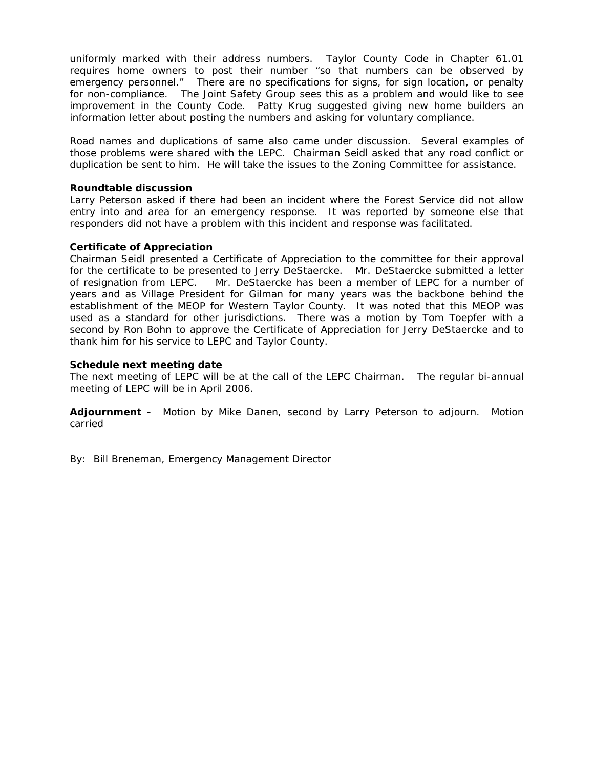uniformly marked with their address numbers. Taylor County Code in Chapter 61.01 requires home owners to post their number "so that numbers can be observed by emergency personnel." There are no specifications for signs, for sign location, or penalty for non-compliance. The Joint Safety Group sees this as a problem and would like to see improvement in the County Code. Patty Krug suggested giving new home builders an information letter about posting the numbers and asking for voluntary compliance.

Road names and duplications of same also came under discussion. Several examples of those problems were shared with the LEPC. Chairman Seidl asked that any road conflict or duplication be sent to him. He will take the issues to the Zoning Committee for assistance.

## **Roundtable discussion**

Larry Peterson asked if there had been an incident where the Forest Service did not allow entry into and area for an emergency response. It was reported by someone else that responders did not have a problem with this incident and response was facilitated.

## **Certificate of Appreciation**

Chairman Seidl presented a Certificate of Appreciation to the committee for their approval for the certificate to be presented to Jerry DeStaercke. Mr. DeStaercke submitted a letter of resignation from LEPC. Mr. DeStaercke has been a member of LEPC for a number of years and as Village President for Gilman for many years was the backbone behind the establishment of the MEOP for Western Taylor County. It was noted that this MEOP was used as a standard for other jurisdictions. There was a motion by Tom Toepfer with a second by Ron Bohn to approve the Certificate of Appreciation for Jerry DeStaercke and to thank him for his service to LEPC and Taylor County.

## **Schedule next meeting date**

The next meeting of LEPC will be at the call of the LEPC Chairman. The regular bi-annual meeting of LEPC will be in April 2006.

**Adjournment -** Motion by Mike Danen, second by Larry Peterson to adjourn. Motion carried

By: Bill Breneman, Emergency Management Director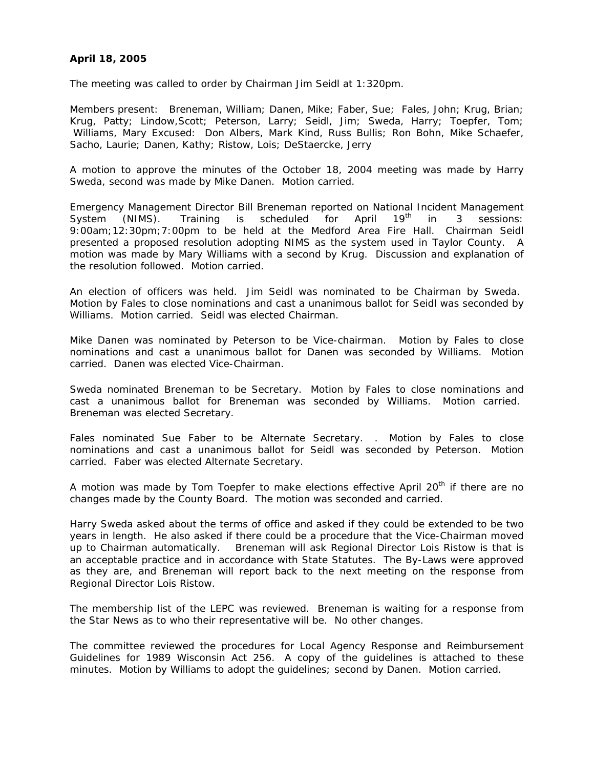# **April 18, 2005**

The meeting was called to order by Chairman Jim Seidl at 1:320pm.

Members present: Breneman, William; Danen, Mike; Faber, Sue; Fales, John; Krug, Brian; Krug, Patty; Lindow,Scott; Peterson, Larry; Seidl, Jim; Sweda, Harry; Toepfer, Tom; Williams, Mary Excused: Don Albers, Mark Kind, Russ Bullis; Ron Bohn, Mike Schaefer, Sacho, Laurie; Danen, Kathy; Ristow, Lois; DeStaercke, Jerry

A motion to approve the minutes of the October 18, 2004 meeting was made by Harry Sweda, second was made by Mike Danen. Motion carried.

Emergency Management Director Bill Breneman reported on National Incident Management System (NIMS). Training is scheduled for April 19<sup>th</sup> in 3 sessions: 9:00am;12:30pm;7:00pm to be held at the Medford Area Fire Hall. Chairman Seidl presented a proposed resolution adopting NIMS as the system used in Taylor County. A motion was made by Mary Williams with a second by Krug. Discussion and explanation of the resolution followed. Motion carried.

An election of officers was held. Jim Seidl was nominated to be Chairman by Sweda. Motion by Fales to close nominations and cast a unanimous ballot for Seidl was seconded by Williams. Motion carried. Seidl was elected Chairman.

Mike Danen was nominated by Peterson to be Vice-chairman. Motion by Fales to close nominations and cast a unanimous ballot for Danen was seconded by Williams. Motion carried. Danen was elected Vice-Chairman.

Sweda nominated Breneman to be Secretary. Motion by Fales to close nominations and cast a unanimous ballot for Breneman was seconded by Williams. Motion carried. Breneman was elected Secretary.

Fales nominated Sue Faber to be Alternate Secretary. . Motion by Fales to close nominations and cast a unanimous ballot for Seidl was seconded by Peterson. Motion carried. Faber was elected Alternate Secretary.

A motion was made by Tom Toepfer to make elections effective April 20<sup>th</sup> if there are no changes made by the County Board. The motion was seconded and carried.

Harry Sweda asked about the terms of office and asked if they could be extended to be two years in length. He also asked if there could be a procedure that the Vice-Chairman moved up to Chairman automatically. Breneman will ask Regional Director Lois Ristow is that is an acceptable practice and in accordance with State Statutes. The By-Laws were approved as they are, and Breneman will report back to the next meeting on the response from Regional Director Lois Ristow.

The membership list of the LEPC was reviewed. Breneman is waiting for a response from the Star News as to who their representative will be. No other changes.

The committee reviewed the procedures for Local Agency Response and Reimbursement Guidelines for 1989 Wisconsin Act 256. A copy of the guidelines is attached to these minutes. Motion by Williams to adopt the guidelines; second by Danen. Motion carried.